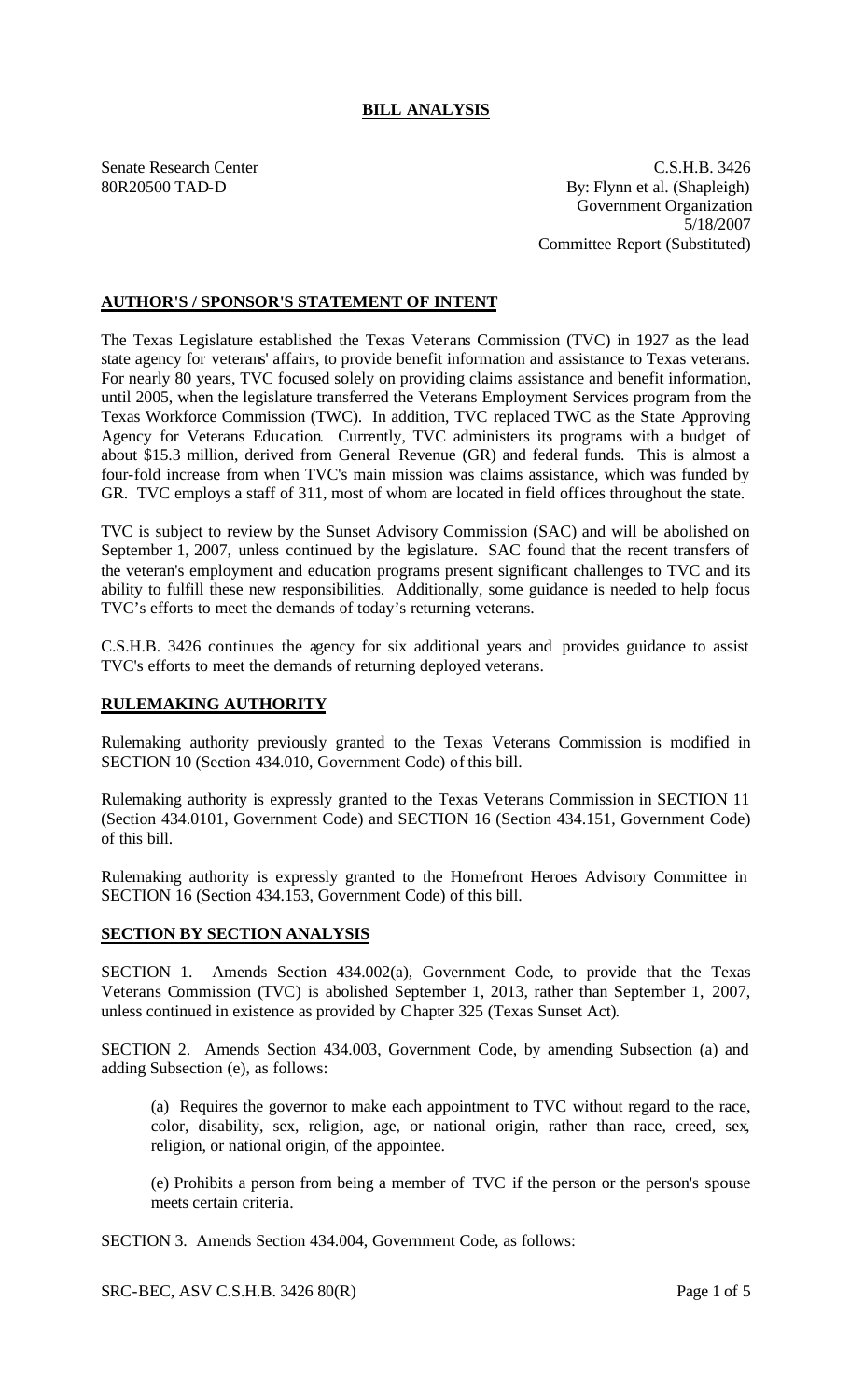## **BILL ANALYSIS**

Senate Research Center C.S.H.B. 3426 80R20500 TAD-D By: Flynn et al. (Shapleigh) Government Organization 5/18/2007 Committee Report (Substituted)

## **AUTHOR'S / SPONSOR'S STATEMENT OF INTENT**

The Texas Legislature established the Texas Veterans Commission (TVC) in 1927 as the lead state agency for veterans' affairs, to provide benefit information and assistance to Texas veterans. For nearly 80 years, TVC focused solely on providing claims assistance and benefit information, until 2005, when the legislature transferred the Veterans Employment Services program from the Texas Workforce Commission (TWC). In addition, TVC replaced TWC as the State Approving Agency for Veterans Education. Currently, TVC administers its programs with a budget of about \$15.3 million, derived from General Revenue (GR) and federal funds. This is almost a four-fold increase from when TVC's main mission was claims assistance, which was funded by GR. TVC employs a staff of 311, most of whom are located in field offices throughout the state.

TVC is subject to review by the Sunset Advisory Commission (SAC) and will be abolished on September 1, 2007, unless continued by the legislature. SAC found that the recent transfers of the veteran's employment and education programs present significant challenges to TVC and its ability to fulfill these new responsibilities. Additionally, some guidance is needed to help focus TVC's efforts to meet the demands of today's returning veterans.

C.S.H.B. 3426 continues the agency for six additional years and provides guidance to assist TVC's efforts to meet the demands of returning deployed veterans.

## **RULEMAKING AUTHORITY**

Rulemaking authority previously granted to the Texas Veterans Commission is modified in SECTION 10 (Section 434.010, Government Code) of this bill.

Rulemaking authority is expressly granted to the Texas Veterans Commission in SECTION 11 (Section 434.0101, Government Code) and SECTION 16 (Section 434.151, Government Code) of this bill.

Rulemaking authority is expressly granted to the Homefront Heroes Advisory Committee in SECTION 16 (Section 434.153, Government Code) of this bill.

## **SECTION BY SECTION ANALYSIS**

SECTION 1. Amends Section 434.002(a), Government Code, to provide that the Texas Veterans Commission (TVC) is abolished September 1, 2013, rather than September 1, 2007, unless continued in existence as provided by Chapter 325 (Texas Sunset Act).

SECTION 2. Amends Section 434.003, Government Code, by amending Subsection (a) and adding Subsection (e), as follows:

(a) Requires the governor to make each appointment to TVC without regard to the race, color, disability, sex, religion, age, or national origin, rather than race, creed, sex, religion, or national origin, of the appointee.

(e) Prohibits a person from being a member of TVC if the person or the person's spouse meets certain criteria.

SECTION 3. Amends Section 434.004, Government Code, as follows:

SRC-BEC, ASV C.S.H.B. 3426 80(R) Page 1 of 5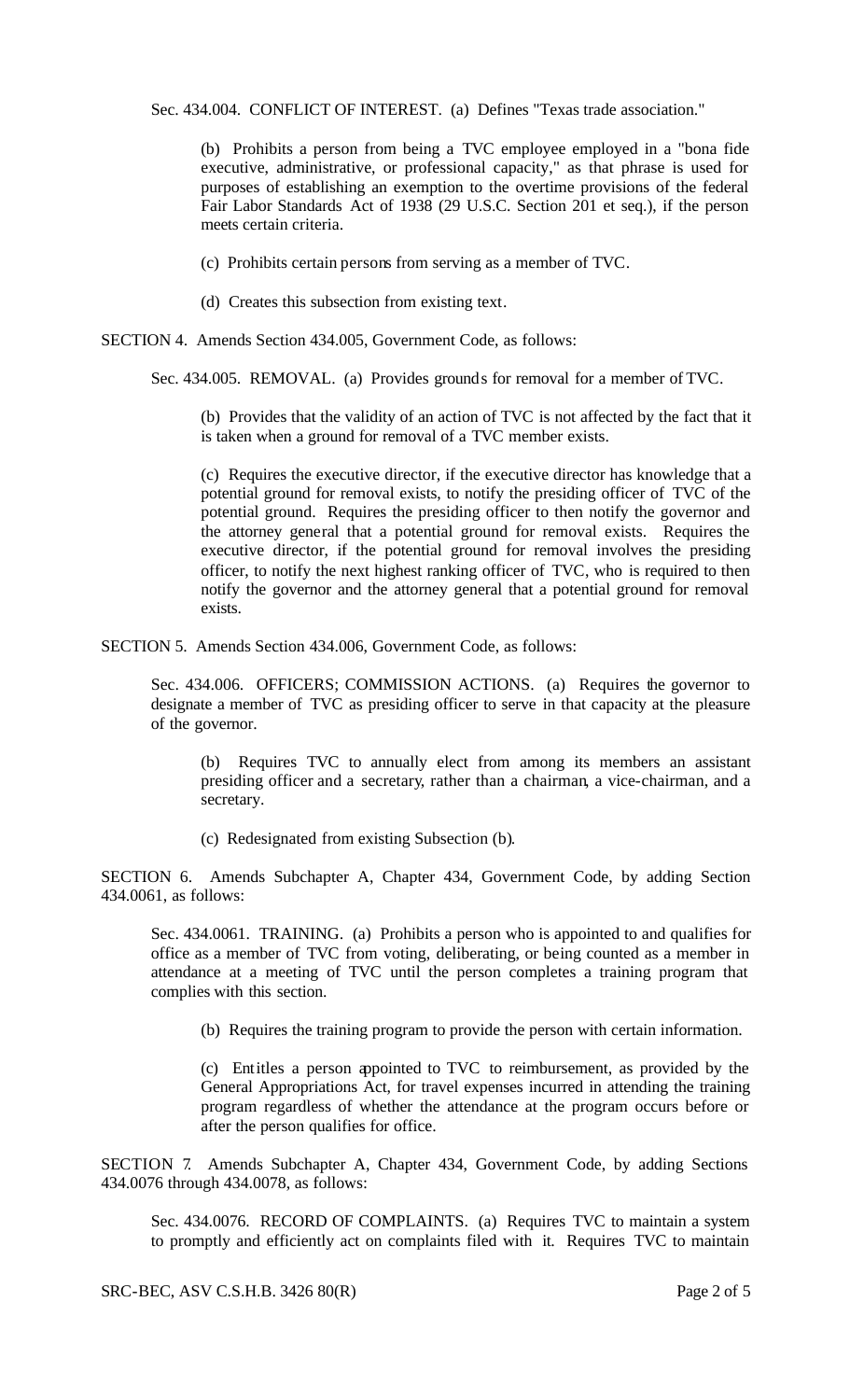Sec. 434.004. CONFLICT OF INTEREST. (a) Defines "Texas trade association."

(b) Prohibits a person from being a TVC employee employed in a "bona fide executive, administrative, or professional capacity," as that phrase is used for purposes of establishing an exemption to the overtime provisions of the federal Fair Labor Standards Act of 1938 (29 U.S.C. Section 201 et seq.), if the person meets certain criteria.

(c) Prohibits certain persons from serving as a member of TVC.

(d) Creates this subsection from existing text.

SECTION 4. Amends Section 434.005, Government Code, as follows:

Sec. 434.005. REMOVAL. (a) Provides grounds for removal for a member of TVC.

(b) Provides that the validity of an action of TVC is not affected by the fact that it is taken when a ground for removal of a TVC member exists.

(c) Requires the executive director, if the executive director has knowledge that a potential ground for removal exists, to notify the presiding officer of TVC of the potential ground. Requires the presiding officer to then notify the governor and the attorney general that a potential ground for removal exists. Requires the executive director, if the potential ground for removal involves the presiding officer, to notify the next highest ranking officer of TVC, who is required to then notify the governor and the attorney general that a potential ground for removal exists.

SECTION 5. Amends Section 434.006, Government Code, as follows:

Sec. 434.006. OFFICERS; COMMISSION ACTIONS. (a) Requires the governor to designate a member of TVC as presiding officer to serve in that capacity at the pleasure of the governor.

(b) Requires TVC to annually elect from among its members an assistant presiding officer and a secretary, rather than a chairman, a vice-chairman, and a secretary.

(c) Redesignated from existing Subsection (b).

SECTION 6. Amends Subchapter A, Chapter 434, Government Code, by adding Section 434.0061, as follows:

Sec. 434.0061. TRAINING. (a) Prohibits a person who is appointed to and qualifies for office as a member of TVC from voting, deliberating, or being counted as a member in attendance at a meeting of TVC until the person completes a training program that complies with this section.

(b) Requires the training program to provide the person with certain information.

(c) Entitles a person appointed to TVC to reimbursement, as provided by the General Appropriations Act, for travel expenses incurred in attending the training program regardless of whether the attendance at the program occurs before or after the person qualifies for office.

SECTION 7. Amends Subchapter A, Chapter 434, Government Code, by adding Sections 434.0076 through 434.0078, as follows:

Sec. 434.0076. RECORD OF COMPLAINTS. (a) Requires TVC to maintain a system to promptly and efficiently act on complaints filed with it. Requires TVC to maintain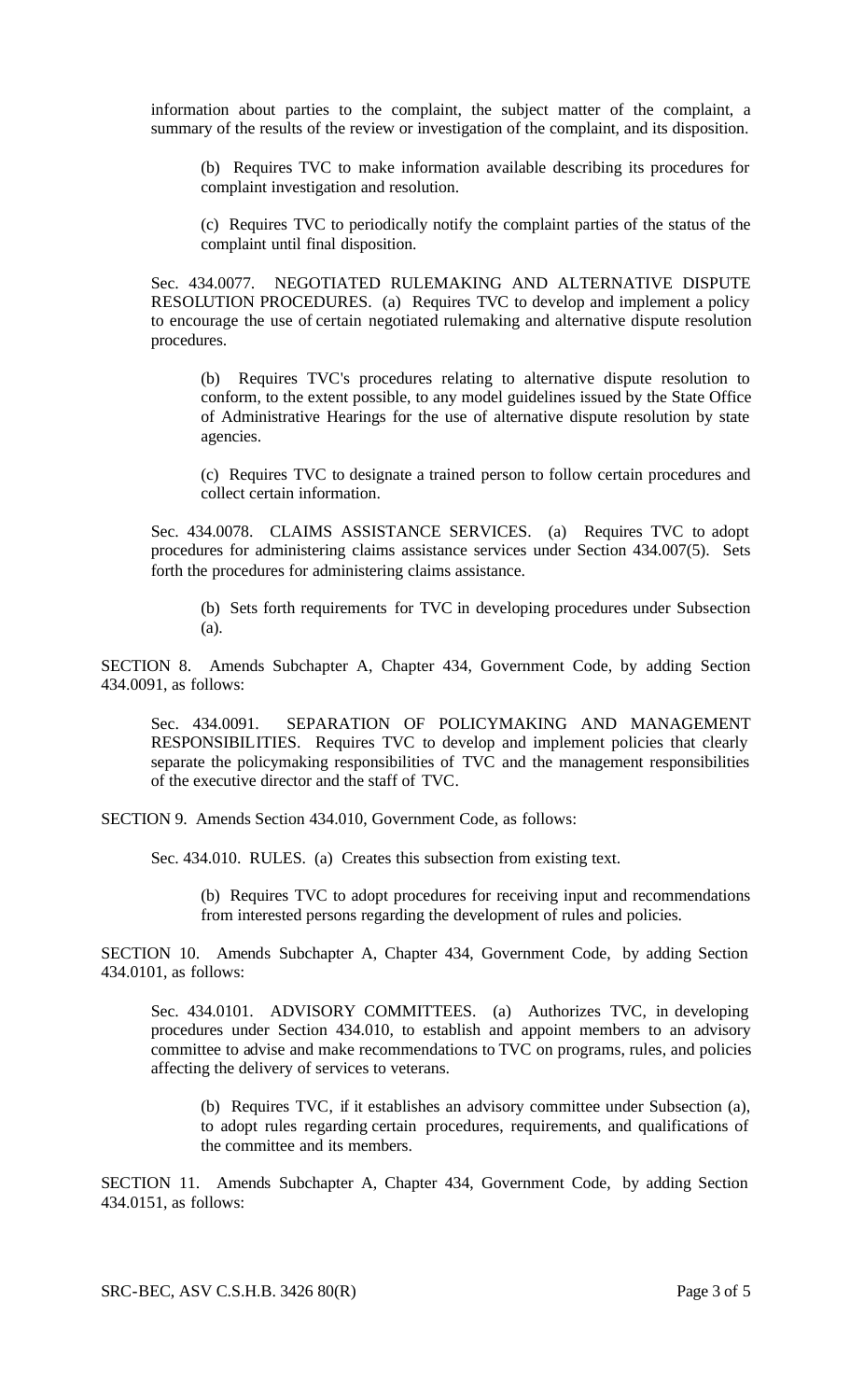information about parties to the complaint, the subject matter of the complaint, a summary of the results of the review or investigation of the complaint, and its disposition.

(b) Requires TVC to make information available describing its procedures for complaint investigation and resolution.

(c) Requires TVC to periodically notify the complaint parties of the status of the complaint until final disposition.

Sec. 434.0077. NEGOTIATED RULEMAKING AND ALTERNATIVE DISPUTE RESOLUTION PROCEDURES. (a) Requires TVC to develop and implement a policy to encourage the use of certain negotiated rulemaking and alternative dispute resolution procedures.

(b) Requires TVC's procedures relating to alternative dispute resolution to conform, to the extent possible, to any model guidelines issued by the State Office of Administrative Hearings for the use of alternative dispute resolution by state agencies.

(c) Requires TVC to designate a trained person to follow certain procedures and collect certain information.

Sec. 434.0078. CLAIMS ASSISTANCE SERVICES. (a) Requires TVC to adopt procedures for administering claims assistance services under Section 434.007(5). Sets forth the procedures for administering claims assistance.

(b) Sets forth requirements for TVC in developing procedures under Subsection (a).

SECTION 8. Amends Subchapter A, Chapter 434, Government Code, by adding Section 434.0091, as follows:

Sec. 434.0091. SEPARATION OF POLICYMAKING AND MANAGEMENT RESPONSIBILITIES. Requires TVC to develop and implement policies that clearly separate the policymaking responsibilities of TVC and the management responsibilities of the executive director and the staff of TVC.

SECTION 9. Amends Section 434.010, Government Code, as follows:

Sec. 434.010. RULES. (a) Creates this subsection from existing text.

(b) Requires TVC to adopt procedures for receiving input and recommendations from interested persons regarding the development of rules and policies.

SECTION 10. Amends Subchapter A, Chapter 434, Government Code, by adding Section 434.0101, as follows:

Sec. 434.0101. ADVISORY COMMITTEES. (a) Authorizes TVC, in developing procedures under Section 434.010, to establish and appoint members to an advisory committee to advise and make recommendations to TVC on programs, rules, and policies affecting the delivery of services to veterans.

(b) Requires TVC, if it establishes an advisory committee under Subsection (a), to adopt rules regarding certain procedures, requirements, and qualifications of the committee and its members.

SECTION 11. Amends Subchapter A, Chapter 434, Government Code, by adding Section 434.0151, as follows: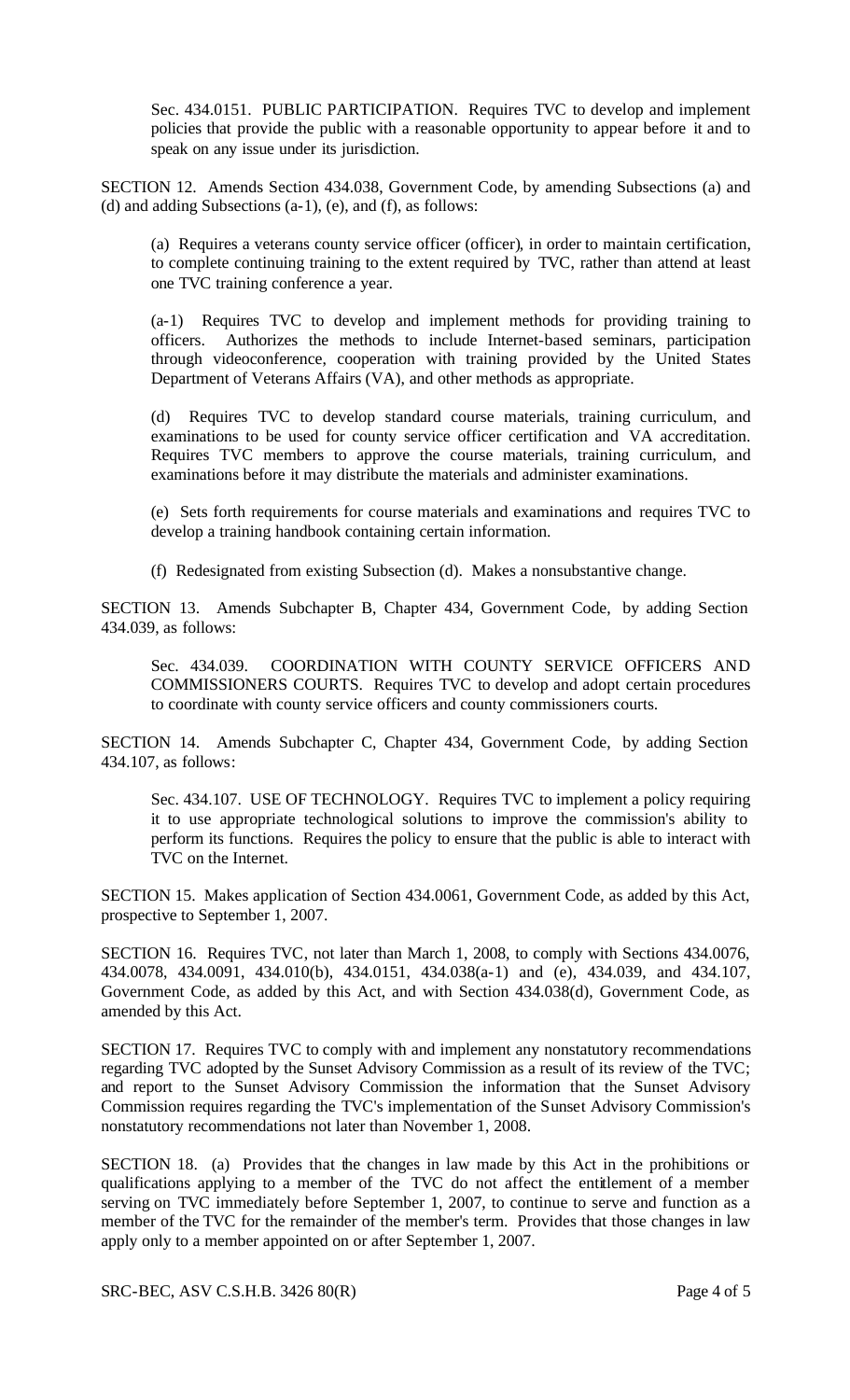Sec. 434.0151. PUBLIC PARTICIPATION. Requires TVC to develop and implement policies that provide the public with a reasonable opportunity to appear before it and to speak on any issue under its jurisdiction.

SECTION 12. Amends Section 434.038, Government Code, by amending Subsections (a) and (d) and adding Subsections (a-1), (e), and (f), as follows:

(a) Requires a veterans county service officer (officer), in order to maintain certification, to complete continuing training to the extent required by TVC, rather than attend at least one TVC training conference a year.

(a-1) Requires TVC to develop and implement methods for providing training to officers. Authorizes the methods to include Internet-based seminars, participation through videoconference, cooperation with training provided by the United States Department of Veterans Affairs (VA), and other methods as appropriate.

(d) Requires TVC to develop standard course materials, training curriculum, and examinations to be used for county service officer certification and VA accreditation. Requires TVC members to approve the course materials, training curriculum, and examinations before it may distribute the materials and administer examinations.

(e) Sets forth requirements for course materials and examinations and requires TVC to develop a training handbook containing certain information.

(f) Redesignated from existing Subsection (d). Makes a nonsubstantive change.

SECTION 13. Amends Subchapter B, Chapter 434, Government Code, by adding Section 434.039, as follows:

Sec. 434.039. COORDINATION WITH COUNTY SERVICE OFFICERS AND COMMISSIONERS COURTS. Requires TVC to develop and adopt certain procedures to coordinate with county service officers and county commissioners courts.

SECTION 14. Amends Subchapter C, Chapter 434, Government Code, by adding Section 434.107, as follows:

Sec. 434.107. USE OF TECHNOLOGY. Requires TVC to implement a policy requiring it to use appropriate technological solutions to improve the commission's ability to perform its functions. Requires the policy to ensure that the public is able to interact with TVC on the Internet.

SECTION 15. Makes application of Section 434.0061, Government Code, as added by this Act, prospective to September 1, 2007.

SECTION 16. Requires TVC, not later than March 1, 2008, to comply with Sections 434.0076, 434.0078, 434.0091, 434.010(b), 434.0151, 434.038(a-1) and (e), 434.039, and 434.107, Government Code, as added by this Act, and with Section 434.038(d), Government Code, as amended by this Act.

SECTION 17. Requires TVC to comply with and implement any nonstatutory recommendations regarding TVC adopted by the Sunset Advisory Commission as a result of its review of the TVC; and report to the Sunset Advisory Commission the information that the Sunset Advisory Commission requires regarding the TVC's implementation of the Sunset Advisory Commission's nonstatutory recommendations not later than November 1, 2008.

SECTION 18. (a) Provides that the changes in law made by this Act in the prohibitions or qualifications applying to a member of the TVC do not affect the entitlement of a member serving on TVC immediately before September 1, 2007, to continue to serve and function as a member of the TVC for the remainder of the member's term. Provides that those changes in law apply only to a member appointed on or after September 1, 2007.